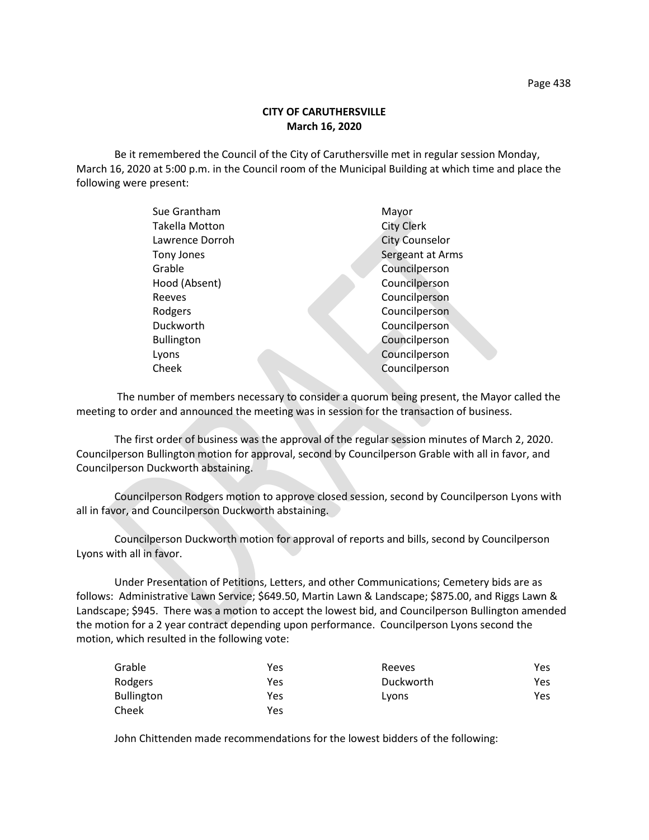Be it remembered the Council of the City of Caruthersville met in regular session Monday, March 16, 2020 at 5:00 p.m. in the Council room of the Municipal Building at which time and place the following were present:

| Sue Grantham      | Mayor                 |
|-------------------|-----------------------|
| Takella Motton    | <b>City Clerk</b>     |
| Lawrence Dorroh   | <b>City Counselor</b> |
| Tony Jones        | Sergeant at Arms      |
| Grable            | Councilperson         |
| Hood (Absent)     | Councilperson         |
| Reeves            | Councilperson         |
| Rodgers           | Councilperson         |
| Duckworth         | Councilperson         |
| <b>Bullington</b> | Councilperson         |
| Lyons             | Councilperson         |
| Cheek             | Councilperson         |
|                   |                       |

 The number of members necessary to consider a quorum being present, the Mayor called the meeting to order and announced the meeting was in session for the transaction of business.

The first order of business was the approval of the regular session minutes of March 2, 2020. Councilperson Bullington motion for approval, second by Councilperson Grable with all in favor, and Councilperson Duckworth abstaining.

Councilperson Rodgers motion to approve closed session, second by Councilperson Lyons with all in favor, and Councilperson Duckworth abstaining.

Councilperson Duckworth motion for approval of reports and bills, second by Councilperson Lyons with all in favor.

Under Presentation of Petitions, Letters, and other Communications; Cemetery bids are as follows: Administrative Lawn Service; \$649.50, Martin Lawn & Landscape; \$875.00, and Riggs Lawn & Landscape; \$945. There was a motion to accept the lowest bid, and Councilperson Bullington amended the motion for a 2 year contract depending upon performance. Councilperson Lyons second the motion, which resulted in the following vote:

| Grable            | Yes | Reeves    | Yes |
|-------------------|-----|-----------|-----|
| Rodgers           | Yes | Duckworth | Yes |
| <b>Bullington</b> | Yes | Lyons     | Yes |
| Cheek             | Yes |           |     |

John Chittenden made recommendations for the lowest bidders of the following: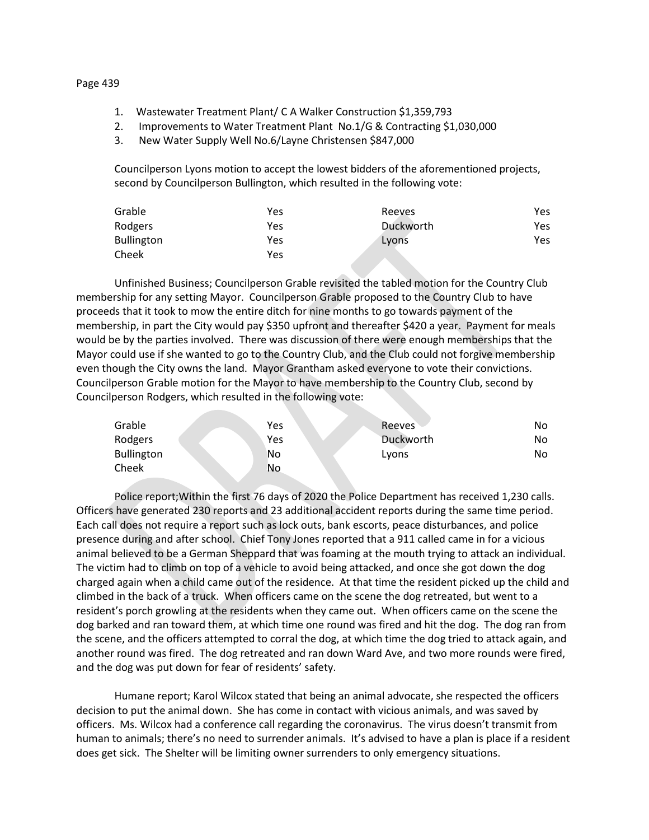## 1. Wastewater Treatment Plant/ C A Walker Construction \$1,359,793

- 2. Improvements to Water Treatment Plant No.1/G & Contracting \$1,030,000
- 3. New Water Supply Well No.6/Layne Christensen \$847,000

Councilperson Lyons motion to accept the lowest bidders of the aforementioned projects, second by Councilperson Bullington, which resulted in the following vote:

| Grable            | Yes | Reeves    | Yes |
|-------------------|-----|-----------|-----|
| Rodgers           | Yes | Duckworth | Yes |
| <b>Bullington</b> | Yes | Lyons     | Yes |
| Cheek             | Yes |           |     |

Unfinished Business; Councilperson Grable revisited the tabled motion for the Country Club membership for any setting Mayor. Councilperson Grable proposed to the Country Club to have proceeds that it took to mow the entire ditch for nine months to go towards payment of the membership, in part the City would pay \$350 upfront and thereafter \$420 a year. Payment for meals would be by the parties involved. There was discussion of there were enough memberships that the Mayor could use if she wanted to go to the Country Club, and the Club could not forgive membership even though the City owns the land. Mayor Grantham asked everyone to vote their convictions. Councilperson Grable motion for the Mayor to have membership to the Country Club, second by Councilperson Rodgers, which resulted in the following vote:

| Grable            | Yes | <b>Reeves</b> | No. |
|-------------------|-----|---------------|-----|
| Rodgers           | Yes | Duckworth     | No. |
| <b>Bullington</b> | No  | Lyons         | No. |
| Cheek             | No  |               |     |

Police report;Within the first 76 days of 2020 the Police Department has received 1,230 calls. Officers have generated 230 reports and 23 additional accident reports during the same time period. Each call does not require a report such as lock outs, bank escorts, peace disturbances, and police presence during and after school. Chief Tony Jones reported that a 911 called came in for a vicious animal believed to be a German Sheppard that was foaming at the mouth trying to attack an individual. The victim had to climb on top of a vehicle to avoid being attacked, and once she got down the dog charged again when a child came out of the residence. At that time the resident picked up the child and climbed in the back of a truck. When officers came on the scene the dog retreated, but went to a resident's porch growling at the residents when they came out. When officers came on the scene the dog barked and ran toward them, at which time one round was fired and hit the dog. The dog ran from the scene, and the officers attempted to corral the dog, at which time the dog tried to attack again, and another round was fired. The dog retreated and ran down Ward Ave, and two more rounds were fired, and the dog was put down for fear of residents' safety.

Humane report; Karol Wilcox stated that being an animal advocate, she respected the officers decision to put the animal down. She has come in contact with vicious animals, and was saved by officers. Ms. Wilcox had a conference call regarding the coronavirus. The virus doesn't transmit from human to animals; there's no need to surrender animals. It's advised to have a plan is place if a resident does get sick. The Shelter will be limiting owner surrenders to only emergency situations.

## Page 439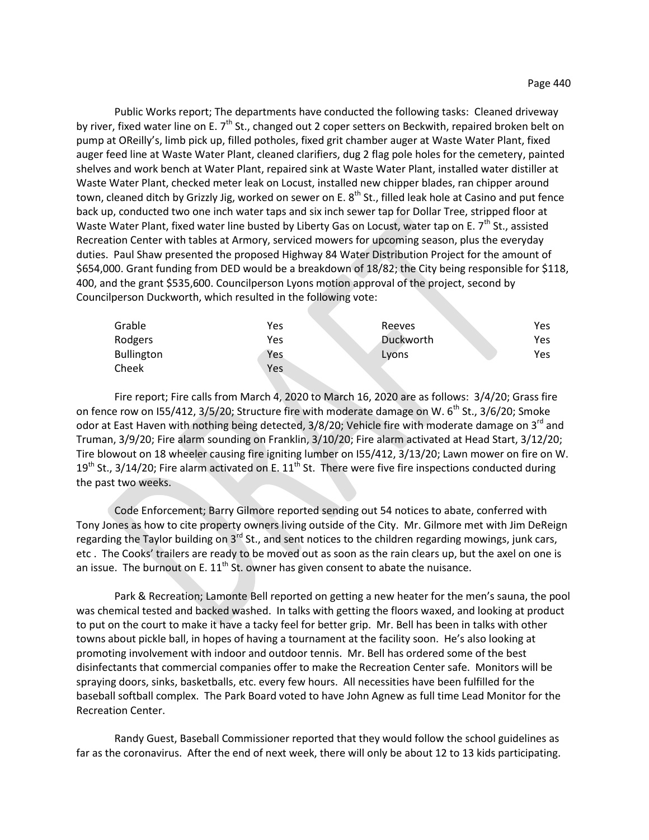Public Works report; The departments have conducted the following tasks: Cleaned driveway by river, fixed water line on E. 7<sup>th</sup> St., changed out 2 coper setters on Beckwith, repaired broken belt on pump at OReilly's, limb pick up, filled potholes, fixed grit chamber auger at Waste Water Plant, fixed auger feed line at Waste Water Plant, cleaned clarifiers, dug 2 flag pole holes for the cemetery, painted shelves and work bench at Water Plant, repaired sink at Waste Water Plant, installed water distiller at Waste Water Plant, checked meter leak on Locust, installed new chipper blades, ran chipper around town, cleaned ditch by Grizzly Jig, worked on sewer on E. 8<sup>th</sup> St., filled leak hole at Casino and put fence back up, conducted two one inch water taps and six inch sewer tap for Dollar Tree, stripped floor at Waste Water Plant, fixed water line busted by Liberty Gas on Locust, water tap on E. 7<sup>th</sup> St., assisted Recreation Center with tables at Armory, serviced mowers for upcoming season, plus the everyday duties. Paul Shaw presented the proposed Highway 84 Water Distribution Project for the amount of \$654,000. Grant funding from DED would be a breakdown of 18/82; the City being responsible for \$118, 400, and the grant \$535,600. Councilperson Lyons motion approval of the project, second by Councilperson Duckworth, which resulted in the following vote:

| Grable            | Yes | Reeves    | Yes |
|-------------------|-----|-----------|-----|
| Rodgers           | Yes | Duckworth | Yes |
| <b>Bullington</b> | Yes | Lyons     | Yes |
| Cheek             | Yes |           |     |

Fire report; Fire calls from March 4, 2020 to March 16, 2020 are as follows: 3/4/20; Grass fire on fence row on I55/412,  $3/5/20$ ; Structure fire with moderate damage on W. 6<sup>th</sup> St.,  $3/6/20$ ; Smoke odor at East Haven with nothing being detected, 3/8/20; Vehicle fire with moderate damage on 3<sup>rd</sup> and Truman, 3/9/20; Fire alarm sounding on Franklin, 3/10/20; Fire alarm activated at Head Start, 3/12/20; Tire blowout on 18 wheeler causing fire igniting lumber on I55/412, 3/13/20; Lawn mower on fire on W.  $19<sup>th</sup>$  St., 3/14/20; Fire alarm activated on E.  $11<sup>th</sup>$  St. There were five fire inspections conducted during the past two weeks.

Code Enforcement; Barry Gilmore reported sending out 54 notices to abate, conferred with Tony Jones as how to cite property owners living outside of the City. Mr. Gilmore met with Jim DeReign regarding the Taylor building on  $3^{rd}$  St., and sent notices to the children regarding mowings, junk cars, etc . The Cooks' trailers are ready to be moved out as soon as the rain clears up, but the axel on one is an issue. The burnout on E.  $11<sup>th</sup>$  St. owner has given consent to abate the nuisance.

Park & Recreation; Lamonte Bell reported on getting a new heater for the men's sauna, the pool was chemical tested and backed washed. In talks with getting the floors waxed, and looking at product to put on the court to make it have a tacky feel for better grip. Mr. Bell has been in talks with other towns about pickle ball, in hopes of having a tournament at the facility soon. He's also looking at promoting involvement with indoor and outdoor tennis. Mr. Bell has ordered some of the best disinfectants that commercial companies offer to make the Recreation Center safe. Monitors will be spraying doors, sinks, basketballs, etc. every few hours. All necessities have been fulfilled for the baseball softball complex. The Park Board voted to have John Agnew as full time Lead Monitor for the Recreation Center.

Randy Guest, Baseball Commissioner reported that they would follow the school guidelines as far as the coronavirus. After the end of next week, there will only be about 12 to 13 kids participating.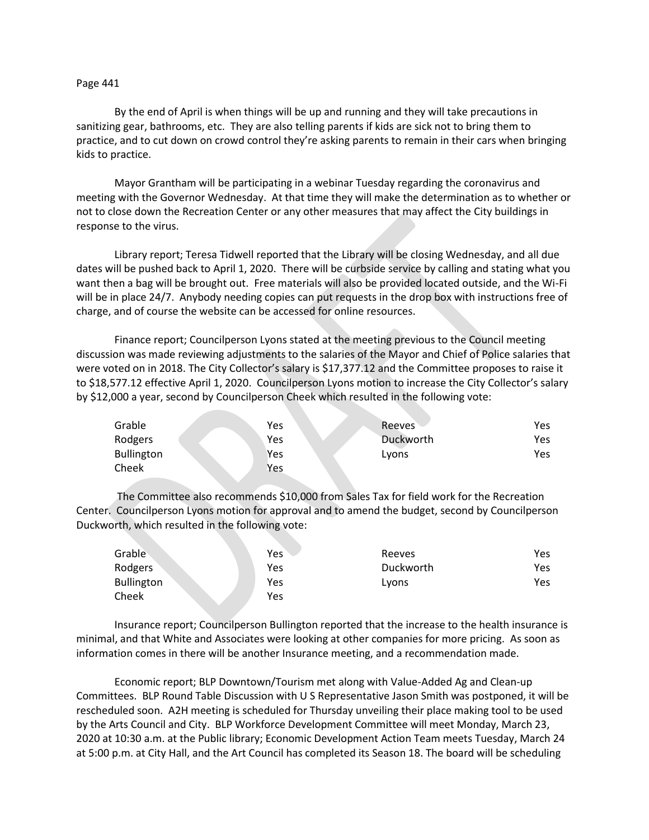### Page 441

By the end of April is when things will be up and running and they will take precautions in sanitizing gear, bathrooms, etc. They are also telling parents if kids are sick not to bring them to practice, and to cut down on crowd control they're asking parents to remain in their cars when bringing kids to practice.

Mayor Grantham will be participating in a webinar Tuesday regarding the coronavirus and meeting with the Governor Wednesday. At that time they will make the determination as to whether or not to close down the Recreation Center or any other measures that may affect the City buildings in response to the virus.

Library report; Teresa Tidwell reported that the Library will be closing Wednesday, and all due dates will be pushed back to April 1, 2020. There will be curbside service by calling and stating what you want then a bag will be brought out. Free materials will also be provided located outside, and the Wi-Fi will be in place 24/7. Anybody needing copies can put requests in the drop box with instructions free of charge, and of course the website can be accessed for online resources.

Finance report; Councilperson Lyons stated at the meeting previous to the Council meeting discussion was made reviewing adjustments to the salaries of the Mayor and Chief of Police salaries that were voted on in 2018. The City Collector's salary is \$17,377.12 and the Committee proposes to raise it to \$18,577.12 effective April 1, 2020. Councilperson Lyons motion to increase the City Collector's salary by \$12,000 a year, second by Councilperson Cheek which resulted in the following vote:

| Grable            | Yes | <b>Reeves</b> | Yes. |
|-------------------|-----|---------------|------|
| Rodgers           | Yes | Duckworth     | Yes. |
| <b>Bullington</b> | Yes | Lyons         | Yes. |
| Cheek             | Yes |               |      |

The Committee also recommends \$10,000 from Sales Tax for field work for the Recreation Center. Councilperson Lyons motion for approval and to amend the budget, second by Councilperson Duckworth, which resulted in the following vote:

| Grable     | Yes | Reeves    | Yes |
|------------|-----|-----------|-----|
| Rodgers    | Yes | Duckworth | Yes |
| Bullington | Yes | Lyons     | Yes |
| Cheek      | Yes |           |     |

Insurance report; Councilperson Bullington reported that the increase to the health insurance is minimal, and that White and Associates were looking at other companies for more pricing. As soon as information comes in there will be another Insurance meeting, and a recommendation made.

Economic report; BLP Downtown/Tourism met along with Value-Added Ag and Clean-up Committees. BLP Round Table Discussion with U S Representative Jason Smith was postponed, it will be rescheduled soon. A2H meeting is scheduled for Thursday unveiling their place making tool to be used by the Arts Council and City. BLP Workforce Development Committee will meet Monday, March 23, 2020 at 10:30 a.m. at the Public library; Economic Development Action Team meets Tuesday, March 24 at 5:00 p.m. at City Hall, and the Art Council has completed its Season 18. The board will be scheduling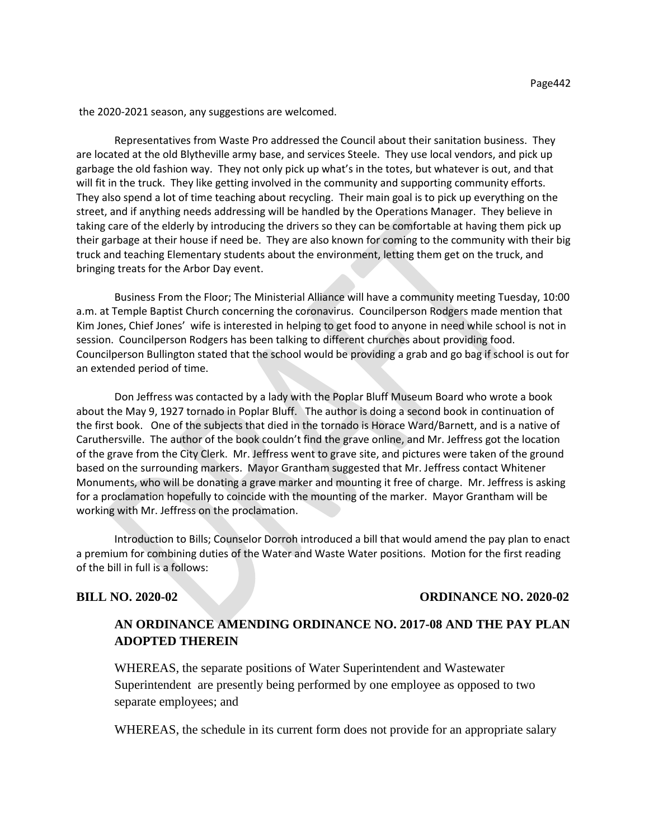the 2020-2021 season, any suggestions are welcomed.

Representatives from Waste Pro addressed the Council about their sanitation business. They are located at the old Blytheville army base, and services Steele. They use local vendors, and pick up garbage the old fashion way. They not only pick up what's in the totes, but whatever is out, and that will fit in the truck. They like getting involved in the community and supporting community efforts. They also spend a lot of time teaching about recycling. Their main goal is to pick up everything on the street, and if anything needs addressing will be handled by the Operations Manager. They believe in taking care of the elderly by introducing the drivers so they can be comfortable at having them pick up their garbage at their house if need be. They are also known for coming to the community with their big truck and teaching Elementary students about the environment, letting them get on the truck, and bringing treats for the Arbor Day event.

Business From the Floor; The Ministerial Alliance will have a community meeting Tuesday, 10:00 a.m. at Temple Baptist Church concerning the coronavirus. Councilperson Rodgers made mention that Kim Jones, Chief Jones' wife is interested in helping to get food to anyone in need while school is not in session. Councilperson Rodgers has been talking to different churches about providing food. Councilperson Bullington stated that the school would be providing a grab and go bag if school is out for an extended period of time.

Don Jeffress was contacted by a lady with the Poplar Bluff Museum Board who wrote a book about the May 9, 1927 tornado in Poplar Bluff. The author is doing a second book in continuation of the first book. One of the subjects that died in the tornado is Horace Ward/Barnett, and is a native of Caruthersville. The author of the book couldn't find the grave online, and Mr. Jeffress got the location of the grave from the City Clerk. Mr. Jeffress went to grave site, and pictures were taken of the ground based on the surrounding markers. Mayor Grantham suggested that Mr. Jeffress contact Whitener Monuments, who will be donating a grave marker and mounting it free of charge. Mr. Jeffress is asking for a proclamation hopefully to coincide with the mounting of the marker. Mayor Grantham will be working with Mr. Jeffress on the proclamation.

Introduction to Bills; Counselor Dorroh introduced a bill that would amend the pay plan to enact a premium for combining duties of the Water and Waste Water positions. Motion for the first reading of the bill in full is a follows:

## **BILL NO. 2020-02 ORDINANCE NO. 2020-02**

# **AN ORDINANCE AMENDING ORDINANCE NO. 2017-08 AND THE PAY PLAN ADOPTED THEREIN**

WHEREAS, the separate positions of Water Superintendent and Wastewater Superintendent are presently being performed by one employee as opposed to two separate employees; and

WHEREAS, the schedule in its current form does not provide for an appropriate salary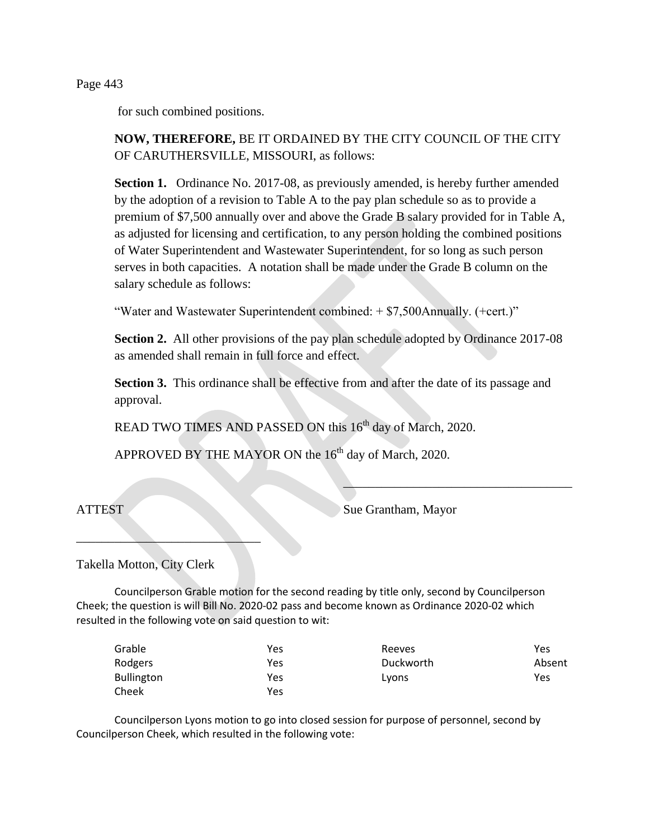Page 443

for such combined positions.

# **NOW, THEREFORE,** BE IT ORDAINED BY THE CITY COUNCIL OF THE CITY OF CARUTHERSVILLE, MISSOURI, as follows:

**Section 1.** Ordinance No. 2017-08, as previously amended, is hereby further amended by the adoption of a revision to Table A to the pay plan schedule so as to provide a premium of \$7,500 annually over and above the Grade B salary provided for in Table A, as adjusted for licensing and certification, to any person holding the combined positions of Water Superintendent and Wastewater Superintendent, for so long as such person serves in both capacities. A notation shall be made under the Grade B column on the salary schedule as follows:

"Water and Wastewater Superintendent combined: + \$7,500Annually. (+cert.)"

**Section 2.** All other provisions of the pay plan schedule adopted by Ordinance 2017-08 as amended shall remain in full force and effect.

**Section 3.** This ordinance shall be effective from and after the date of its passage and approval.

READ TWO TIMES AND PASSED ON this 16<sup>th</sup> day of March, 2020.

APPROVED BY THE MAYOR ON the 16<sup>th</sup> day of March, 2020.

ATTEST Sue Grantham, Mayor

\_\_\_\_\_\_\_\_\_\_\_\_\_\_\_\_\_\_\_\_\_\_\_\_\_\_\_\_\_\_\_\_\_\_\_\_

Takella Motton, City Clerk

 $\mathcal{L}$  , we can also the contribution of  $\mathcal{L}$ 

Councilperson Grable motion for the second reading by title only, second by Councilperson Cheek; the question is will Bill No. 2020-02 pass and become known as Ordinance 2020-02 which resulted in the following vote on said question to wit:

| Grable            | Yes | Reeves    | Yes    |
|-------------------|-----|-----------|--------|
| Rodgers           | Yes | Duckworth | Absent |
| <b>Bullington</b> | Yes | Lyons     | Yes    |
| Cheek             | Yes |           |        |

Councilperson Lyons motion to go into closed session for purpose of personnel, second by Councilperson Cheek, which resulted in the following vote: